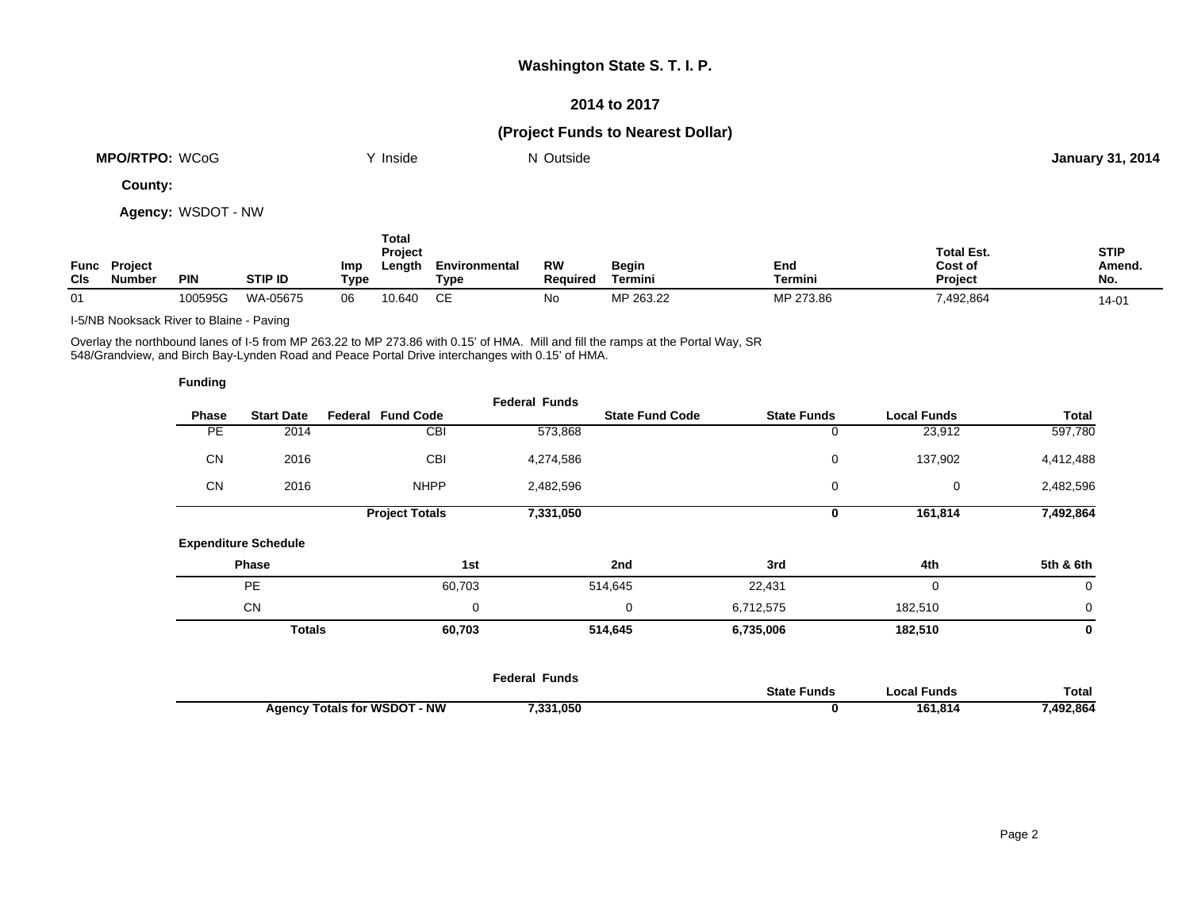### **2014 to 2017**

# **(Project Funds to Nearest Dollar)**

| WCoG<br><b>MPO/RTPO:</b> | . .<br>Inside | Outside | . 2014<br>January 31 |  |
|--------------------------|---------------|---------|----------------------|--|
|                          |               |         |                      |  |

**County:**

**Agency:** WSDOT - NW

| <b>CIs</b> | <b>Func Project</b><br><b>Number</b> | <b>PIN</b> | <b>STIP ID</b> | Imp<br>Type | <b>Total</b><br>Project<br>Length | Environmental<br>Type | RW<br><b>Required</b> | Begin<br>Termini | End<br>Termini | <b>Total Est.</b><br>Cost of<br><b>Project</b> | <b>STIP</b><br>Amend.<br>No. |
|------------|--------------------------------------|------------|----------------|-------------|-----------------------------------|-----------------------|-----------------------|------------------|----------------|------------------------------------------------|------------------------------|
| 01         |                                      | 100595G    | WA-05675       | 06          | 10.640                            | СE                    | No                    | MP 263.22        | MP 273.86      | 7,492,864                                      | 14-01                        |

I-5/NB Nooksack River to Blaine - Paving

Overlay the northbound lanes of I-5 from MP 263.22 to MP 273.86 with 0.15' of HMA. Mill and fill the ramps at the Portal Way, SR 548/Grandview, and Birch Bay-Lynden Road and Peace Portal Drive interchanges with 0.15' of HMA.

| <b>Funding</b> |                             |                                     |                      |                        |                    |                    |             |
|----------------|-----------------------------|-------------------------------------|----------------------|------------------------|--------------------|--------------------|-------------|
|                |                             |                                     | <b>Federal Funds</b> |                        |                    |                    |             |
| Phase          | <b>Start Date</b>           | <b>Federal Fund Code</b>            |                      | <b>State Fund Code</b> | <b>State Funds</b> | <b>Local Funds</b> | Total       |
| PE             | 2014                        | <b>CBI</b>                          | 573,868              |                        | 0                  | 23,912             | 597,780     |
| <b>CN</b>      | 2016                        | <b>CBI</b>                          | 4,274,586            |                        | 0                  | 137,902            | 4,412,488   |
| <b>CN</b>      | 2016                        | <b>NHPP</b>                         | 2,482,596            |                        | 0                  | 0                  | 2,482,596   |
|                |                             | <b>Project Totals</b>               | 7,331,050            |                        | 0                  | 161,814            | 7,492,864   |
|                | <b>Expenditure Schedule</b> |                                     |                      |                        |                    |                    |             |
|                | Phase                       | 1st                                 |                      | 2nd                    | 3rd                | 4th                | 5th & 6th   |
|                | <b>PE</b>                   | 60,703                              |                      | 514,645                | 22,431             | 0                  | $\mathbf 0$ |
|                | <b>CN</b>                   | 0                                   |                      | 0                      | 6,712,575          | 182,510            | 0           |
|                | <b>Totals</b>               | 60,703                              |                      | 514,645                | 6,735,006          | 182,510            | 0           |
|                |                             |                                     |                      |                        |                    |                    |             |
|                |                             |                                     | <b>Federal Funds</b> |                        | <b>State Funds</b> | <b>Local Funds</b> | Total       |
|                |                             | <b>Agency Totals for WSDOT - NW</b> | 7,331,050            |                        | 0                  | 161,814            | 7,492,864   |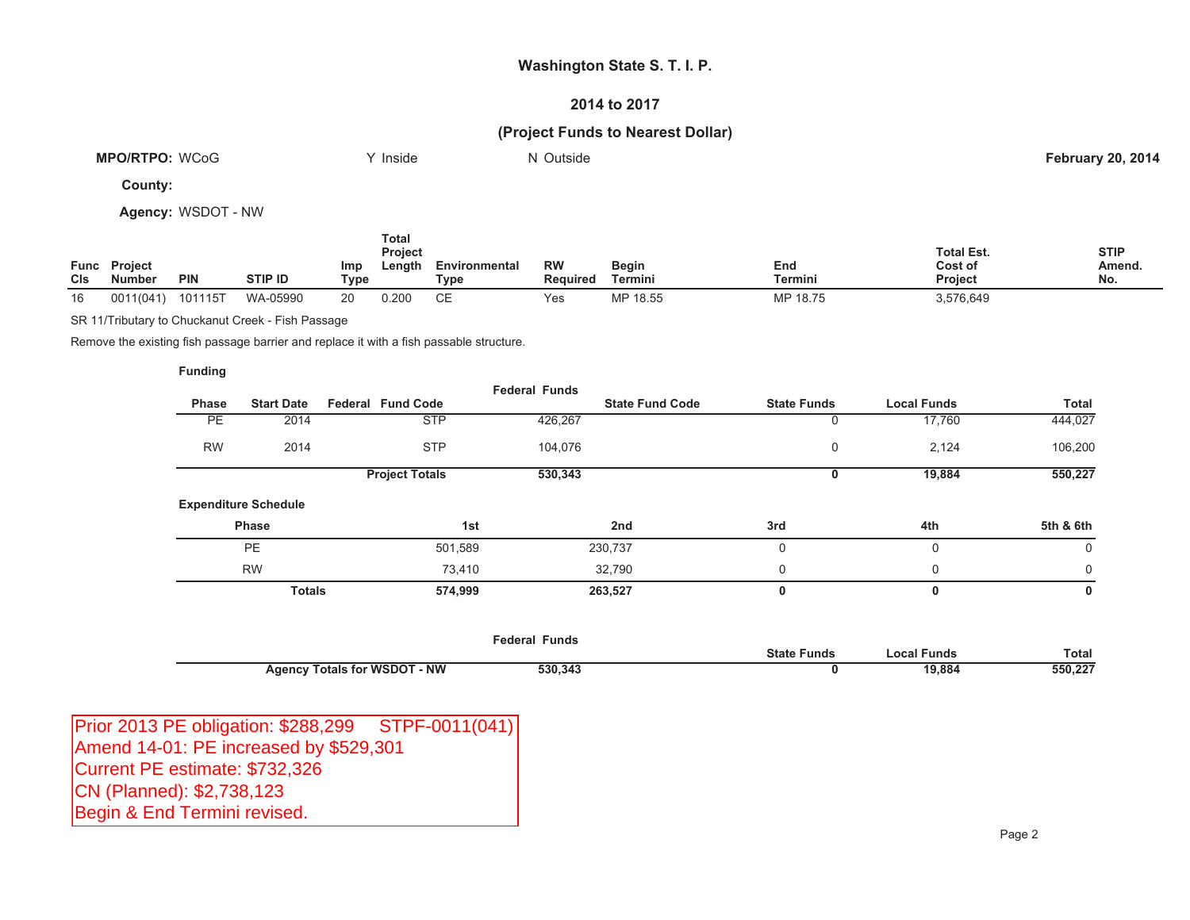### **2014 to 2017**

# **(Project Funds to Nearest Dollar)**

| <b>MPO/RTPO: WCoG</b> | Inside | Outside | <b>February 20, 2014</b> |
|-----------------------|--------|---------|--------------------------|
|                       |        |         |                          |
| $\sim$                |        |         |                          |

**County:**

**Agency:** WSDOT - NW

| <b>CIS</b> | <b>Func</b> Project<br><b>Number</b> | <b>PIN</b> | STIP ID  | Imp<br>Type | Total<br><b>Project</b><br>Length | Environmental<br>Type | <b>RW</b><br><b>Required</b> | <b>Begin</b><br>Termini | End<br>Termini | <b>Total Est.</b><br>Cost of<br><b>Project</b> | <b>STIP</b><br>Amend.<br>No. |
|------------|--------------------------------------|------------|----------|-------------|-----------------------------------|-----------------------|------------------------------|-------------------------|----------------|------------------------------------------------|------------------------------|
| 16         | 0011(041)                            | 101115T    | WA-05990 | 20          | 0.200                             | СE                    | Yes                          | MP 18.55                | MP 18.75       | 3,576,649                                      |                              |

SR 11/Tributary to Chuckanut Creek - Fish Passage

Remove the existing fish passage barrier and replace it with a fish passable structure.

#### **Funding**

| Phase     | <b>Start Date</b>           | <b>Federal Fund Code</b> |            | <b>Federal Funds</b> | <b>State Fund Code</b> | <b>State Funds</b> | <b>Local Funds</b> | Total     |
|-----------|-----------------------------|--------------------------|------------|----------------------|------------------------|--------------------|--------------------|-----------|
| <b>PE</b> | 2014                        |                          | <b>STP</b> | 426,267              |                        | 0                  | 17,760             | 444,027   |
| <b>RW</b> | 2014                        |                          | <b>STP</b> | 104,076              |                        | 0                  | 2,124              | 106,200   |
|           |                             | <b>Project Totals</b>    |            | 530,343              |                        | 0                  | 19,884             | 550,227   |
|           | <b>Expenditure Schedule</b> |                          |            |                      |                        |                    |                    |           |
|           | Phase                       |                          | 1st        |                      | 2nd                    | 3rd                | 4th                | 5th & 6th |
|           | <b>PE</b>                   |                          | 501,589    |                      | 230,737                | $\Omega$           | 0                  | 0         |
|           | <b>RW</b>                   |                          | 73,410     |                      | 32,790                 | 0                  | 0                  | 0         |
|           | <b>Totals</b>               |                          | 574,999    |                      | 263,527                | 0                  | 0                  | 0         |
|           |                             |                          |            |                      |                        |                    |                    |           |

|                                          | <b>Federal Funds</b> |                    |             |              |
|------------------------------------------|----------------------|--------------------|-------------|--------------|
|                                          |                      | <b>State Funds</b> | Local Funds | <b>Total</b> |
| - NW<br><b>Agency Totals for WSDOT -</b> | 530,343              |                    | 19,884      | 550,227      |

| Prior 2013 PE obligation: \$288,299 STPF-0011(041) |  |
|----------------------------------------------------|--|
| Amend 14-01: PE increased by \$529,301             |  |
| Current PE estimate: \$732,326                     |  |
| CN (Planned): \$2,738,123                          |  |
| Begin & End Termini revised.                       |  |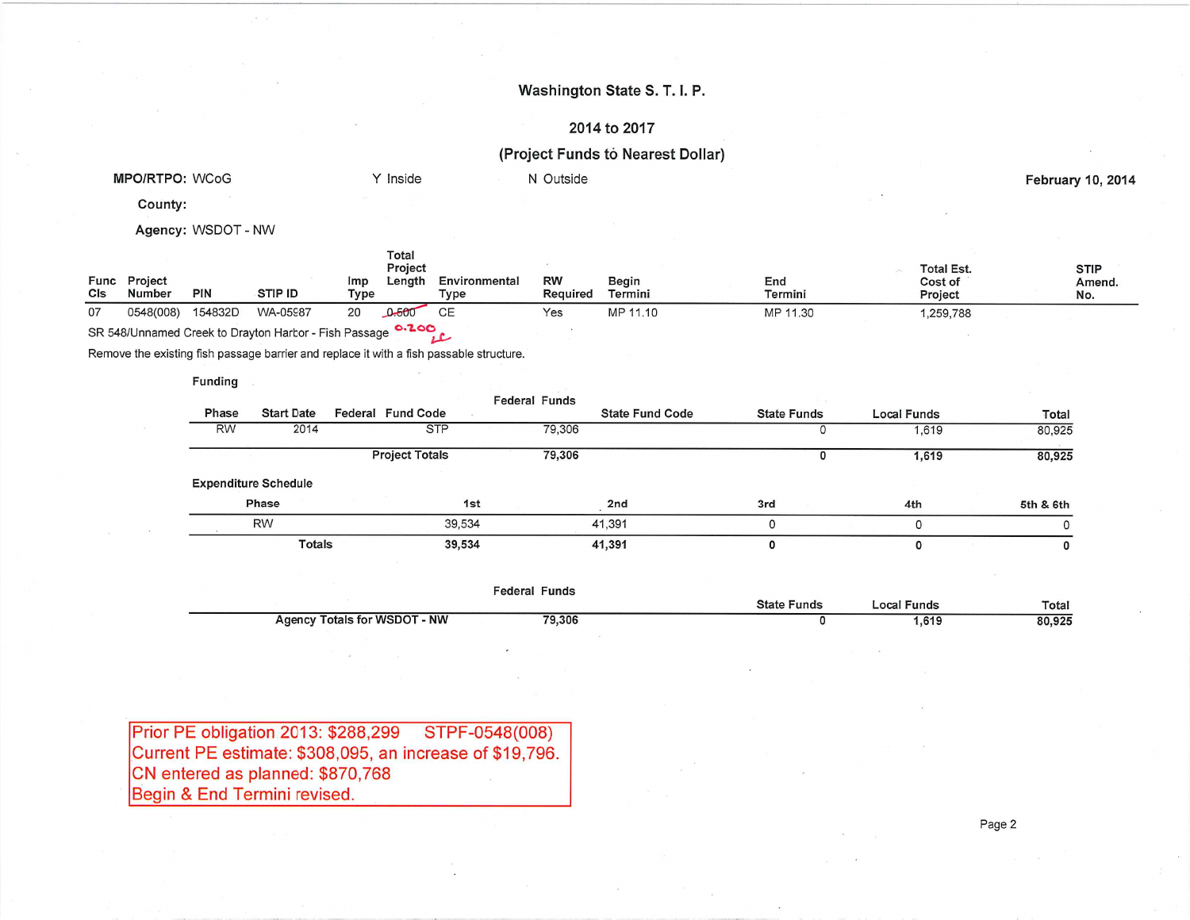# 2014 to 2017

# (Project Funds to Nearest Dollar)

| <b>MPO/RTPO: WCoG</b>           | Inside | Outside | <b>February 10, 2014</b> |
|---------------------------------|--------|---------|--------------------------|
| $\sim$ $\sim$ $\sim$<br>County: |        |         |                          |

Agency: WSDOT - NW

| Cls | <b>Func</b> Project<br>Number | PIN     | <b>STIP ID</b> | Imp<br>Type | ı otal<br>Project<br>Length | Environmental<br>Type | RW<br>Reguired | Begin<br>Termini | End<br>Termini | <b>Total Est.</b><br>Cost of<br>Project | <b>STIP</b><br>Amend.<br>No. |
|-----|-------------------------------|---------|----------------|-------------|-----------------------------|-----------------------|----------------|------------------|----------------|-----------------------------------------|------------------------------|
| 07  | 0548(008)                     | 154832D | WA-05987       | 20          | 0.500                       |                       | Yes            | MP 11.10         | MP 11.30       | ,259,788                                |                              |
|     |                               |         |                |             | $  -$                       |                       |                |                  |                |                                         |                              |

SR 548/Unnamed Creek to Drayton Harbor - Fish Passage 0.200

Remove the existing fish passage barrier and replace it with a fish passable structure.

#### **Funding**

|           |                             |                       |        | <b>Federal Funds</b> |                        |                    |             |           |
|-----------|-----------------------------|-----------------------|--------|----------------------|------------------------|--------------------|-------------|-----------|
| Phase     | <b>Start Date</b>           | Federal Fund Code     |        |                      | <b>State Fund Code</b> | <b>State Funds</b> | Local Funds | Total     |
| <b>RW</b> | 2014                        | <b>STP</b>            |        | 79,306               |                        |                    | 1,619       | 80,925    |
|           |                             | <b>Project Totals</b> |        | 79,306               |                        |                    | 1,619       | 80,925    |
|           | <b>Expenditure Schedule</b> |                       |        |                      |                        |                    |             |           |
|           | Phase                       |                       | 1st    |                      | 2nd                    | 3rd                | 4th         | 5th & 6th |
|           | <b>RW</b>                   |                       | 39,534 |                      | 41,391                 |                    |             |           |
|           | <b>Totals</b>               |                       | 39,534 |                      | 41,391                 | O                  |             | 0         |

|                              | <b>Federal Funds</b> |                    |             |        |
|------------------------------|----------------------|--------------------|-------------|--------|
|                              |                      | <b>State Funds</b> | .ocal Funds | Total  |
| Agency Totals for WSDOT - NW | 79,306               |                    | 1,619       | 80,925 |

| Prior PE obligation 2013: \$288,299 STPF-0548(008)       |  |
|----------------------------------------------------------|--|
| Current PE estimate: \$308,095, an increase of \$19,796. |  |
| CN entered as planned: \$870,768                         |  |
| Begin & End Termini revised.                             |  |

Page 2